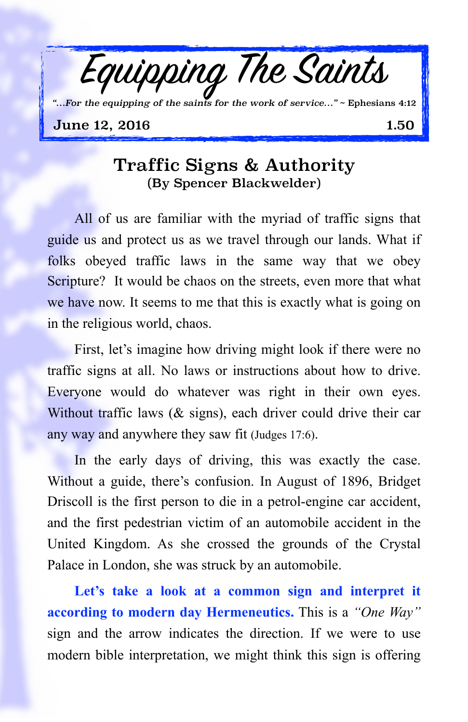

## Traffic Signs & Authority (By Spencer Blackwelder)

All of us are familiar with the myriad of traffic signs that guide us and protect us as we travel through our lands. What if folks obeyed traffic laws in the same way that we obey Scripture? It would be chaos on the streets, even more that what we have now. It seems to me that this is exactly what is going on in the religious world, chaos.

First, let's imagine how driving might look if there were no traffic signs at all. No laws or instructions about how to drive. Everyone would do whatever was right in their own eyes. Without traffic laws (& signs), each driver could drive their car any way and anywhere they saw fit (Judges 17:6).

In the early days of driving, this was exactly the case. Without a guide, there's confusion. In August of 1896, Bridget Driscoll is the first person to die in a petrol-engine car accident, and the first pedestrian victim of an automobile accident in the United Kingdom. As she crossed the grounds of the Crystal Palace in London, she was struck by an automobile.

Let's take a look at a common sign and interpret it **according to modern day Hermeneutics.** This is a *"One Way"* sign and the arrow indicates the direction. If we were to use modern bible interpretation, we might think this sign is offering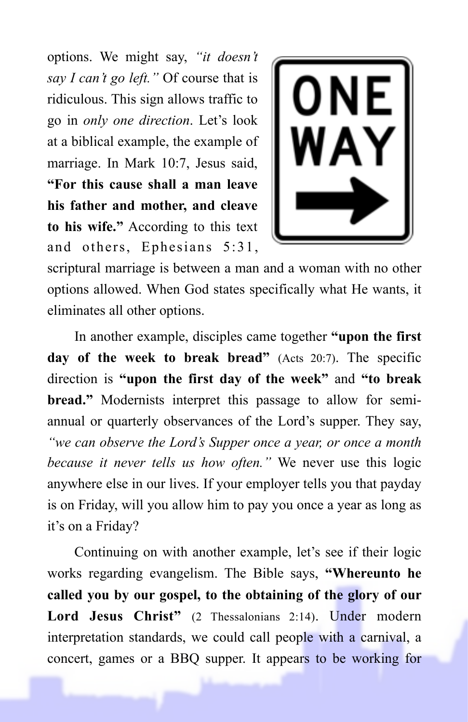options. We might say, *"it doesn't say I can't go left."* Of course that is ridiculous. This sign allows traffic to go in *only one direction*. Let's look at a biblical example, the example of marriage. In Mark 10:7, Jesus said, **"For this cause shall a man leave his father and mother, and cleave to his wife."** According to this text and others, Ephesians 5:31,



scriptural marriage is between a man and a woman with no other options allowed. When God states specifically what He wants, it eliminates all other options.

In another example, disciples came together **"upon the first day of the week to break bread"** (Acts 20:7). The specific direction is **"upon the first day of the week"** and **"to break bread."** Modernists interpret this passage to allow for semiannual or quarterly observances of the Lord's supper. They say, *"we can observe the Lord's Supper once a year, or once a month because it never tells us how often."* We never use this logic anywhere else in our lives. If your employer tells you that payday is on Friday, will you allow him to pay you once a year as long as it's on a Friday?

Continuing on with another example, let's see if their logic works regarding evangelism. The Bible says, **"Whereunto he called you by our gospel, to the obtaining of the glory of our Lord Jesus Christ"** (2 Thessalonians 2:14). Under modern interpretation standards, we could call people with a carnival, a concert, games or a BBQ supper. It appears to be working for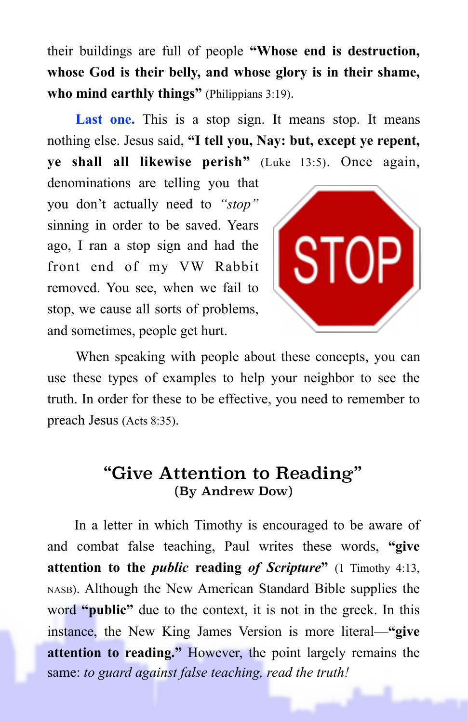their buildings are full of people **"Whose end is destruction, whose God is their belly, and whose glory is in their shame, who mind earthly things"** (Philippians 3:19).

Last one. This is a stop sign. It means stop. It means nothing else. Jesus said, **"I tell you, Nay: but, except ye repent, ye shall all likewise perish"** (Luke 13:5). Once again,

denominations are telling you that you don't actually need to *"stop"* sinning in order to be saved. Years ago, I ran a stop sign and had the front end of my VW Rabbit removed. You see, when we fail to stop, we cause all sorts of problems, and sometimes, people get hurt.



When speaking with people about these concepts, you can use these types of examples to help your neighbor to see the truth. In order for these to be effective, you need to remember to preach Jesus (Acts 8:35).

## "Give Attention to Reading" (By Andrew Dow)

In a letter in which Timothy is encouraged to be aware of and combat false teaching, Paul writes these words, **"give attention to the** *public* **reading** *of Scripture***"** (1 Timothy 4:13, NASB). Although the New American Standard Bible supplies the word **"public"** due to the context, it is not in the greek. In this instance, the New King James Version is more literal—**"give attention to reading."** However, the point largely remains the same: *to guard against false teaching, read the truth!*